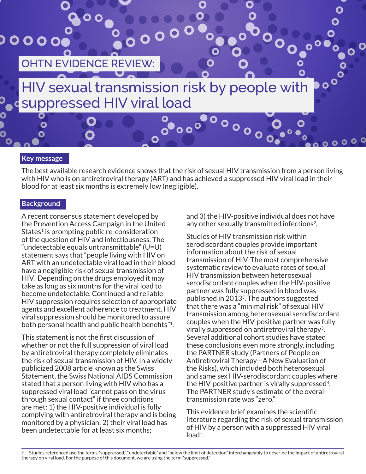

#### **Key message**

The best available research evidence shows that the risk of sexual HIV transmission from a person living with HIV who is on antiretroviral therapy (ART) and has achieved a suppressed HIV viral load in their blood for at least six months is extremely low (negligible).

#### **Background**

A recent consensus statement developed by the Prevention Access Campaign in the United States<sup>1</sup> is prompting public re-consideration of the question of HIV and infectiousness. The "undetectable equals untransmittable" (U=U) statement says that "people living with HIV on ART with an undetectable viral load in their blood have a negligible risk of sexual transmission of HIV. Depending on the drugs employed it may take as long as six months for the viral load to become undetectable. Continued and reliable HIV suppression requires selection of appropriate agents and excellent adherence to treatment. HIV viral suppression should be monitored to assure both personal health and public health benefits"1.

This statement is not the first discussion of whether or not the full suppression of viral load by antiretroviral therapy completely eliminates the risk of sexual transmission of HIV. In a widely publicized 2008 article known as the Swiss Statement, the Swiss National AIDS Commission stated that a person living with HIV who has a suppressed viral load "cannot pass on the virus through sexual contact" if three conditions are met: 1) the HIV-positive individual is fully complying with antiretroviral therapy and is being monitored by a physician; 2) their viral load has been undetectable for at least six months;

and 3) the HIV-positive individual does not have any other sexually transmitted infections<sup>2</sup>.

Studies of HIV transmission risk within serodiscordant couples provide important information about the risk of sexual transmission of HIV. The most comprehensive systematic review to evaluate rates of sexual HIV transmission between heterosexual serodiscordant couples when the HIV-positive partner was fully suppressed in blood was published in 20133. The authors suggested that there was a "minimal risk" of sexual HIV transmission among heterosexual serodiscordant couples when the HIV-positive partner was fully virally suppressed on antiretroviral therapy3. Several additional cohort studies have stated these conclusions even more strongly, including the PARTNER study (Partners of People on Antiretroviral Therapy—A New Evaluation of the Risks), which included both heterosexual and same sex HIV-serodiscordant couples where the HIV-positive partner is virally suppressed4. The PARTNER study's estimate of the overall transmission rate was "zero."

This evidence brief examines the scientific literature regarding the risk of sexual transmission of HIV by a person with a suppressed HIV viral load†.

Studies referenced use the terms "suppressed," "undetectable" and "below the limit of detection" interchangeably to describe the impact of antiretroviral therapy on viral load. For the purpose of this document, we are using the term "suppressed."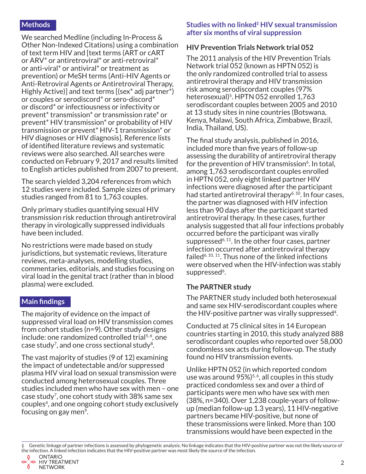## **Methods**

We searched Medline (including In-Process & Other Non-Indexed Citations) using a combination of text term HIV and [text terms (ART or cART or ARV\* or antiretroviral\* or anti-retroviral\* or anti-viral\* or antiviral\* or treatment as prevention) or MeSH terms (Anti-HIV Agents or Anti-Retroviral Agents or Antiretroviral Therapy, Highly Active)] and text terms [(sex\* adj partner\*) or couples or serodiscord\* or sero-discord\* or discord\* or infectiousness or infectivity or prevent\* transmission\* or transmission rate\* or prevent\* HIV transmission\* or probability of HIV transmission or prevent\* HIV-1 transmission\* or HIV diagnoses or HIV diagnosis]. Reference lists of identified literature reviews and systematic reviews were also searched. All searches were conducted on February 9, 2017 and results limited to English articles published from 2007 to present.

The search yielded 3,204 references from which 12 studies were included. Sample sizes of primary studies ranged from 81 to 1,763 couples.

Only primary studies quantifying sexual HIV transmission risk reduction through antiretroviral therapy in virologically suppressed individuals have been included.

No restrictions were made based on study jurisdictions, but systematic reviews, literature reviews, meta-analyses, modelling studies, commentaries, editorials, and studies focusing on viral load in the genital tract (rather than in blood plasma) were excluded.

### **Main findings**

The majority of evidence on the impact of suppressed viral load on HIV transmission comes from cohort studies (n=9). Other study designs include: one randomized controlled trial<sup>5,6</sup>, one case study<sup>7</sup>, and one cross sectional study<sup>8</sup>.

The vast majority of studies (9 of 12) examining the impact of undetectable and/or suppressed plasma HIV viral load on sexual transmission were conducted among heterosexual couples. Three studies included men who have sex with men – one case study7, one cohort study with 38% same sex couples4, and one ongoing cohort study exclusively focusing on gay men<sup>9</sup>.

#### **Studies with no linked‡ HIV sexual transmission after six months of viral suppression**

### **HIV Prevention Trials Network trial 052**

The 2011 analysis of the HIV Prevention Trials Network trial 052 (known as HPTN 052) is the only randomized controlled trial to assess antiretroviral therapy and HIV transmission risk among serodiscordant couples (97% heterosexual)<sup>5</sup>. HPTN 052 enrolled 1,763 serodiscordant couples between 2005 and 2010 at 13 study sites in nine countries (Botswana, Kenya, Malawi, South Africa, Zimbabwe, Brazil, India, Thailand, US).

The final study analysis, published in 2016, included more than five years of follow-up assessing the durability of antiretroviral therapy for the prevention of HIV transmission<sup> $6$ </sup>. In total, among 1,763 serodiscordant couples enrolled in HPTN 052, only eight linked partner HIV infections were diagnosed after the participant had started antiretroviral therapy<sup> $6, 10$ </sup>. In four cases, the partner was diagnosed with HIV infection less than 90 days after the participant started antiretroviral therapy. In these cases, further analysis suggested that all four infections probably occurred before the participant was virally suppressed<sup>6, 11</sup>. In the other four cases, partner infection occurred after antiretroviral therapy failed<sup>6, 10, 11</sup>. Thus none of the linked infections were observed when the HIV-infection was stably suppressed<sup>6</sup>.

### **The PARTNER study**

The PARTNER study included both heterosexual and same sex HIV-serodiscordant couples where the HIV-positive partner was virally suppressed<sup>4</sup>.

Conducted at 75 clinical sites in 14 European countries starting in 2010, this study analyzed 888 serodiscordant couples who reported over 58,000 condomless sex acts during follow-up. The study found no HIV transmission events.

Unlike HPTN 052 (in which reported condom use was around  $95\%/5, 6$ , all couples in this study practiced condomless sex and over a third of participants were men who have sex with men (38%, n=340). Over 1,238 couple-years of followup (median follow-up 1.3 years), 11 HIV-negative partners became HIV-positive, but none of these transmissions were linked. More than 100 transmissions would have been expected in the

Genetic linkage of partner infections is assessed by phylogenetic analysis. No linkage indicates that the HIV-positive partner was not the likely source of the infection. A linked infection indicates that the HIV-positive partner was most likely the source of the infection.<br>  $\bigcirc$  ONTARIO<br>  $\bigcirc$  HIV TREATMENT

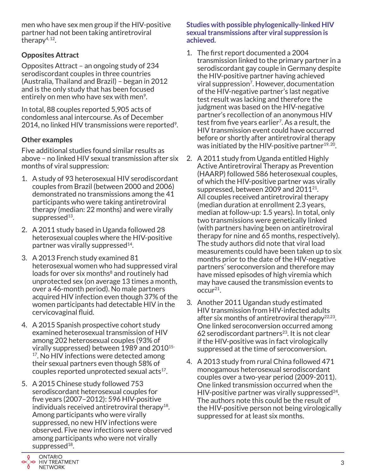men who have sex men group if the HIV-positive partner had not been taking antiretroviral therapy4, 12.

# **Opposites Attract**

Opposites Attract – an ongoing study of 234 serodiscordant couples in three countries (Australia, Thailand and Brazil) – began in 2012 and is the only study that has been focused entirely on men who have sex with men<sup>9</sup>.

In total, 88 couples reported 5,905 acts of condomless anal intercourse. As of December 2014, no linked HIV transmissions were reported<sup>9</sup>.

# **Other examples**

Five additional studies found similar results as above – no linked HIV sexual transmission after six months of viral suppression:

- 1. A study of 93 heterosexual HIV serodiscordant couples from Brazil (between 2000 and 2006) demonstrated no transmissions among the 41 participants who were taking antiretroviral therapy (median: 22 months) and were virally suppressed<sup>13</sup>.
- 2. A 2011 study based in Uganda followed 28 heterosexual couples where the HIV-positive partner was virally suppressed<sup>14</sup>.
- 3. A 2013 French study examined 81 heterosexual women who had suppressed viral loads for over six months<sup>8</sup> and routinely had unprotected sex (on average 13 times a month, over a 46-month period). No male partners acquired HIV infection even though 37% of the women participants had detectable HIV in the cervicovaginal fluid.
- 4. A 2015 Spanish prospective cohort study examined heterosexual transmission of HIV among 202 heterosexual couples (93% of virally suppressed) between 1989 and 2010<sup>15-</sup> <sup>17</sup>. No HIV infections were detected among their sexual partners even though 58% of couples reported unprotected sexual acts $17$ .
- 5. A 2015 Chinese study followed 753 serodiscordant heterosexual couples for five years (2007–2012): 596 HIV-positive individuals received antiretroviral therapy<sup>18</sup>. Among participants who were virally suppressed, no new HIV infections were observed. Five new infections were observed among participants who were not virally suppressed $18$ .



**Studies with possible phylogenically-linked HIV sexual transmissions after viral suppression is achieved.**

- 1. The first report documented a 2004 transmission linked to the primary partner in a serodiscordant gay couple in Germany despite the HIV-positive partner having achieved viral suppression<sup>7</sup>. However, documentation of the HIV-negative partner's last negative test result was lacking and therefore the judgment was based on the HIV-negative partner's recollection of an anonymous HIV test from five years earlier<sup>7</sup>. As a result, the HIV transmission event could have occurred before or shortly after antiretroviral therapy was initiated by the HIV-positive partner<sup>19, 20</sup>.
- 2. A 2011 study from Uganda entitled Highly Active Antiretroviral Therapy as Prevention (HAARP) followed 586 heterosexual couples, of which the HIV-positive partner was virally suppressed, between 2009 and  $2011^{21}$ . All couples received antiretroviral therapy (median duration at enrollment 2.3 years, median at follow-up: 1.5 years). In total, only two transmissions were genetically linked (with partners having been on antiretroviral therapy for nine and 65 months, respectively). The study authors did note that viral load measurements could have been taken up to six months prior to the date of the HIV-negative partners' seroconversion and therefore may have missed episodes of high viremia which may have caused the transmission events to  $occur<sup>21</sup>$ .
- 3. Another 2011 Ugandan study estimated HIV transmission from HIV-infected adults after six months of antiretroviral therapy $22,23$ . One linked seroconversion occurred among 62 serodiscordant partners<sup>23</sup>. It is not clear if the HIV-positive was in fact virologically suppressed at the time of seroconversion.
- 4. A 2013 study from rural China followed 471 monogamous heterosexual serodiscordant couples over a two-year period (2009-2011). One linked transmission occurred when the HIV-positive partner was virally suppressed $^{24}$ . The authors note this could be the result of the HIV-positive person not being virologically suppressed for at least six months.